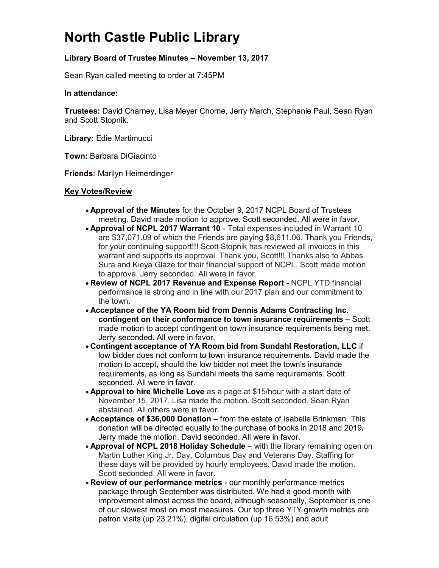# **North Castle Public Library**

### **Library Board of Trustee Minutes – November 13, 2017**

Sean Ryan called meeting to order at 7:45PM

#### **In attendance:**

**Trustees:** David Charney, Lisa Meyer Chorne, Jerry March, Stephanie Paul, Sean Ryan and Scott Stopnik.

**Library:** Edie Martimucci

**Town:** Barbara DiGiacinto

**Friends:** Marilyn Heimerdinger

#### **Key Votes/Review**

- **Approval of the Minutes** for the October 9, 2017 NCPL Board of Trustees meeting. David made motion to approve. Scott seconded. All were in favor.
- **Approval of NCPL 2017 Warrant 10** Total expenses included in Warrant 10 are \$37,071.09 of which the Friends are paying \$8,611.06. Thank you Friends, for your continuing support!!! Scott Stopnik has reviewed all invoices in this warrant and supports its approval. Thank you, Scott!!! Thanks also to Abbas Sura and Kieya Glaze for their financial support of NCPL. Scott made motion to approve. Jerry seconded. All were in favor.
- **Review of NCPL 2017 Revenue and Expense Report -** NCPL YTD financial performance is strong and in line with our 2017 plan and our commitment to the town.
- **Acceptance of the YA Room bid from Dennis Adams Contracting Inc. contingent on their conformance to town insurance requirements –** Scott made motion to accept contingent on town insurance requirements being met. Jerry seconded. All were in favor.
- **Contingent acceptance of YA Room bid from Sundahl Restoration, LLC** if low bidder does not conform to town insurance requirements. David made the motion to accept, should the low bidder not meet the town's insurance requirements, as long as Sundahl meets the same requirements. Scott seconded. All were in favor.
- **Approval to hire Michelle Love** as a page at \$15/hour with a start date of November 15, 2017. Lisa made the motion. Scott seconded. Sean Ryan abstained. All others were in favor.
- **Acceptance of \$36,000 Donation –** from the estate of Isabelle Brinkman. This donation will be directed equally to the purchase of books in 2018 and 2019**.**  Jerry made the motion. David seconded. All were in favor.
- **Approval of NCPL 2018 Holiday Schedule** with the library remaining open on Martin Luther King Jr. Day, Columbus Day and Veterans Day. Staffing for these days will be provided by hourly employees. David made the motion. Scott seconded. All were in favor.
- **Review of our performance metrics** our monthly performance metrics package through September was distributed. We had a good month with improvement almost across the board, although seasonally, September is one of our slowest most on most measures. Our top three YTY growth metrics are patron visits (up 23.21%), digital circulation (up 16.53%) and adult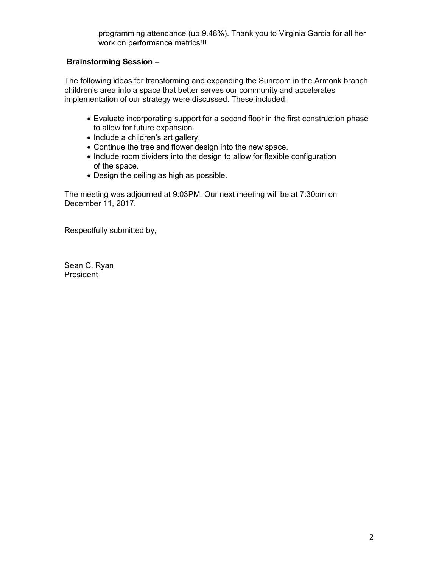### **Brainstorming Session –**

The following ideas for transforming and expanding the Sunroom in the Armonk branch children's area into a space that better serves our community and accelerates implementation of our strategy were discussed. These included:

- Evaluate incorporating support for a second floor in the first construction phase to allow for future expansion.
- Include a children's art gallery.
- Continue the tree and flower design into the new space.
- Include room dividers into the design to allow for flexible configuration of the space.
- Design the ceiling as high as possible.

The meeting was adjourned at 9:03PM. Our next meeting will be at 7:30pm on December 11, 2017.

Respectfully submitted by,

Sean C. Ryan President